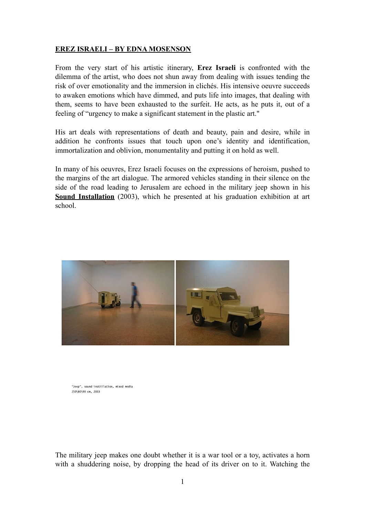## **EREZ ISRAELI – BY EDNA MOSENSON**

From the very start of his artistic itinerary, **Erez Israeli** is confronted with the dilemma of the artist, who does not shun away from dealing with issues tending the risk of over emotionality and the immersion in clichés. His intensive oeuvre succeeds to awaken emotions which have dimmed, and puts life into images, that dealing with them, seems to have been exhausted to the surfeit. He acts, as he puts it, out of a feeling of "urgency to make a significant statement in the plastic art."

His art deals with representations of death and beauty, pain and desire, while in addition he confronts issues that touch upon one's identity and identification, immortalization and oblivion, monumentality and putting it on hold as well.

In many of his oeuvres, Erez Israeli focuses on the expressions of heroism, pushed to the margins of the art dialogue. The armored vehicles standing in their silence on the side of the road leading to Jerusalem are echoed in the military jeep shown in his **Sound Installation** (2003), which he presented at his graduation exhibition at art school.



"Jeep", sound instillation, mixed media 250\80\90 cm, 2003

The military jeep makes one doubt whether it is a war tool or a toy, activates a horn with a shuddering noise, by dropping the head of its driver on to it. Watching the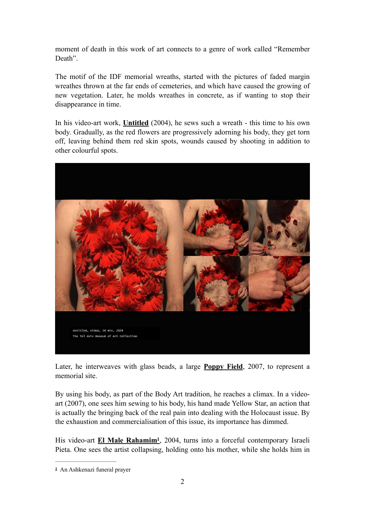moment of death in this work of art connects to a genre of work called "Remember Death".

The motif of the IDF memorial wreaths, started with the pictures of faded margin wreathes thrown at the far ends of cemeteries, and which have caused the growing of new vegetation. Later, he molds wreathes in concrete, as if wanting to stop their disappearance in time.

In his video-art work, **Untitled** (2004), he sews such a wreath - this time to his own body. Gradually, as the red flowers are progressively adorning his body, they get torn off, leaving behind them red skin spots, wounds caused by shooting in addition to other colourful spots.



Later, he interweaves with glass beads, a large **Poppy Field**, 2007, to represent a memorial site.

By using his body, as part of the Body Art tradition, he reaches a climax. In a videoart (2007), one sees him sewing to his body, his hand made Yellow Star, an action that is actually the bringing back of the real pain into dealing with the Holocaust issue. By the exhaustion and commercialisation of this issue, its importance has dimmed.

<span id="page-1-1"></span>His video-art **El Male Rahamim<sup>[1](#page-1-0)</sup>**, 2004, turns into a forceful contemporary Israeli Pieta. One sees the artist collapsing, holding onto his mother, while she holds him in

<span id="page-1-0"></span>An Ashkenazi funeral prayer **[1](#page-1-1)**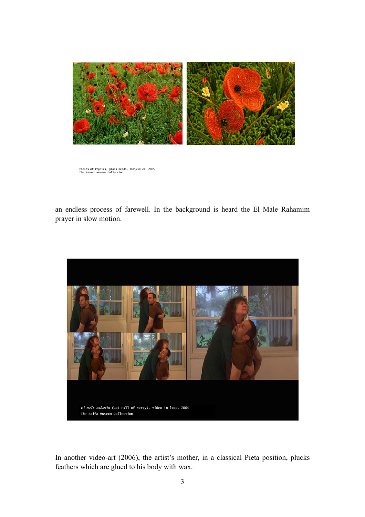

Fields of Poppies, glass beads, 360\260 cm, 2005<br>The Israel Museum Collection

an endless process of farewell. In the background is heard the El Male Rahamim prayer in slow motion.



In another video-art (2006), the artist's mother, in a classical Pieta position, plucks feathers which are glued to his body with wax.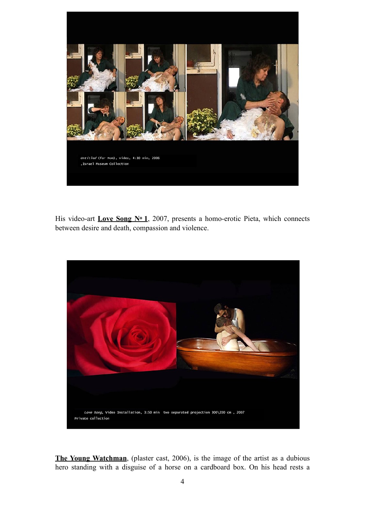

His video-art **Love Song No 1**, 2007, presents a homo-erotic Pieta, which connects between desire and death, compassion and violence.



**The Young Watchman**, (plaster cast, 2006), is the image of the artist as a dubious hero standing with a disguise of a horse on a cardboard box. On his head rests a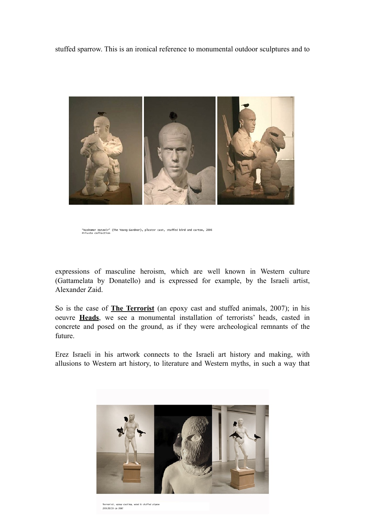stuffed sparrow. This is an ironical reference to monumental outdoor sculptures and to



"Hashomer Hatzair" (The Young Gardner), plaster cast, stuffed bird and carton, 2006<br>Private collection

expressions of masculine heroism, which are well known in Western culture (Gattamelata by Donatello) and is expressed for example, by the Israeli artist, Alexander Zaid.

So is the case of **The Terrorist** (an epoxy cast and stuffed animals, 2007); in his oeuvre **Heads**, we see a monumental installation of terrorists' heads, casted in concrete and posed on the ground, as if they were archeological remnants of the future.

Erez Israeli in his artwork connects to the Israeli art history and making, with allusions to Western art history, to literature and Western myths, in such a way that



ferrorist, epoxy casting, wood & stuffed pigeor 235\50\50 cm 2007